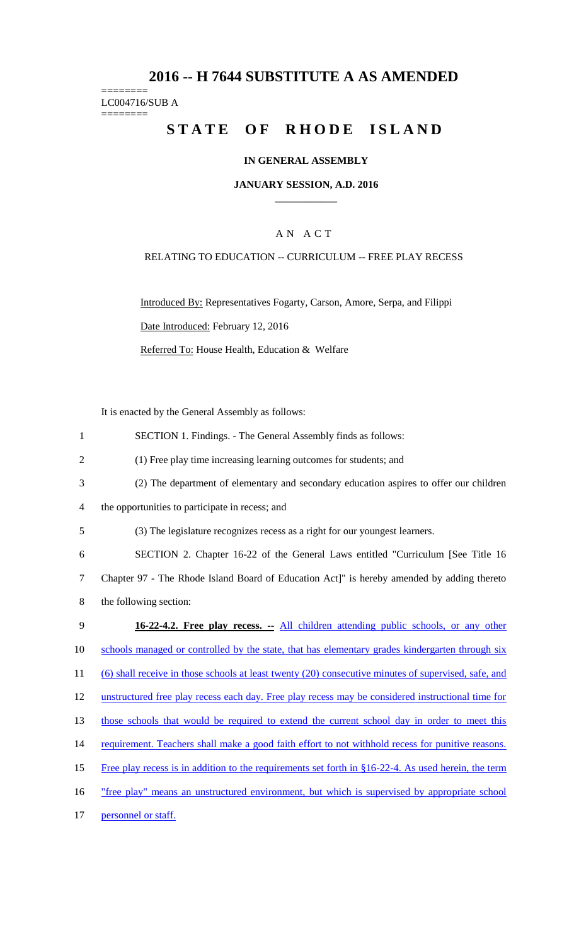# **2016 -- H 7644 SUBSTITUTE A AS AMENDED**

======== LC004716/SUB A ========

# **STATE OF RHODE ISLAND**

## **IN GENERAL ASSEMBLY**

#### **JANUARY SESSION, A.D. 2016 \_\_\_\_\_\_\_\_\_\_\_\_**

### A N A C T

### RELATING TO EDUCATION -- CURRICULUM -- FREE PLAY RECESS

Introduced By: Representatives Fogarty, Carson, Amore, Serpa, and Filippi Date Introduced: February 12, 2016 Referred To: House Health, Education & Welfare

It is enacted by the General Assembly as follows:

| $\mathbf{1}$   | SECTION 1. Findings. - The General Assembly finds as follows:                                        |
|----------------|------------------------------------------------------------------------------------------------------|
| $\overline{2}$ | (1) Free play time increasing learning outcomes for students; and                                    |
| 3              | (2) The department of elementary and secondary education aspires to offer our children               |
| 4              | the opportunities to participate in recess; and                                                      |
| 5              | (3) The legislature recognizes recess as a right for our youngest learners.                          |
| 6              | SECTION 2. Chapter 16-22 of the General Laws entitled "Curriculum [See Title 16                      |
| 7              | Chapter 97 - The Rhode Island Board of Education Act]" is hereby amended by adding thereto           |
| 8              | the following section:                                                                               |
| 9              | 16-22-4.2. Free play recess. -- All children attending public schools, or any other                  |
| 10             | schools managed or controlled by the state, that has elementary grades kindergarten through six      |
| 11             | (6) shall receive in those schools at least twenty (20) consecutive minutes of supervised, safe, and |
| 12             | unstructured free play recess each day. Free play recess may be considered instructional time for    |
| 13             | those schools that would be required to extend the current school day in order to meet this          |
| 14             | requirement. Teachers shall make a good faith effort to not withhold recess for punitive reasons.    |
| 15             | Free play recess is in addition to the requirements set forth in §16-22-4. As used herein, the term  |
| 16             | "free play" means an unstructured environment, but which is supervised by appropriate school         |
| 17             | personnel or staff.                                                                                  |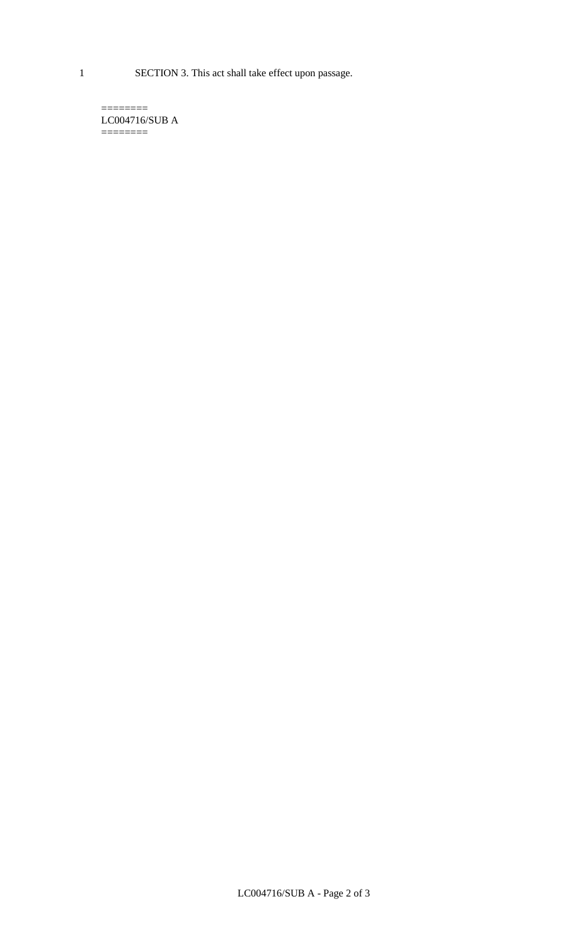1 SECTION 3. This act shall take effect upon passage.

 $=$ LC004716/SUB A  $=$